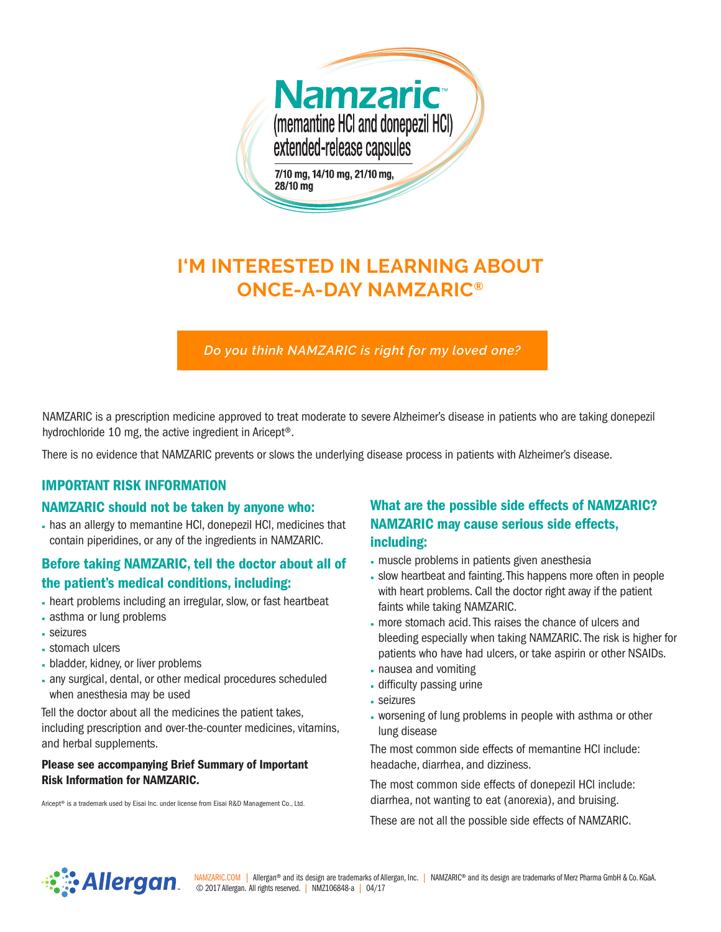

# **I'M INTERESTED IN LEARNING ABOUT ONCE-A-DAY NAMZARIC®**

*Do you think NAMZARIC is right for my loved one?*

NAMZARIC is a prescription medicine approved to treat moderate to severe Alzheimer's disease in patients who are taking donepezil hydrochloride 10 mg, the active ingredient in Aricept®.

There is no evidence that NAMZARIC prevents or slows the underlying disease process in patients with Alzheimer's disease.

## IMPORTANT RISK INFORMATION

#### NAMZARIC should not be taken by anyone who:

· has an allergy to memantine HCl, donepezil HCl, medicines that contain piperidines, or any of the ingredients in NAMZARIC.

# Before taking NAMZARIC, tell the doctor about all of

## the patient's medical conditions, including:

- · heart problems including an irregular, slow, or fast heartbeat
- · asthma or lung problems
- · seizures
- · stomach ulcers
- · bladder, kidney, or liver problems
- · any surgical, dental, or other medical procedures scheduled when anesthesia may be used

Tell the doctor about all the medicines the patient takes, including prescription and over-the-counter medicines, vitamins, and herbal supplements.

#### Please see accompanying Brief Summary of Important Risk Information for NAMZARIC.

Aricept® is a trademark used by Eisai Inc. under license from Eisai R&D Management Co., Ltd.

# What are the possible side effects of NAMZARIC? NAMZARIC may cause serious side effects, including:

- · muscle problems in patients given anesthesia
- · slow heartbeat and fainting. This happens more often in people with heart problems. Call the doctor right away if the patient faints while taking NAMZARIC.
- · more stomach acid. This raises the chance of ulcers and bleeding especially when taking NAMZARIC. The risk is higher for patients who have had ulcers, or take aspirin or other NSAIDs.
- · nausea and vomiting
- · difficulty passing urine
- · seizures
- · worsening of lung problems in people with asthma or other lung disease

The most common side effects of memantine HCl include: headache, diarrhea, and dizziness.

The most common side effects of donepezil HCl include: diarrhea, not wanting to eat (anorexia), and bruising.

These are not all the possible side effects of NAMZARIC.